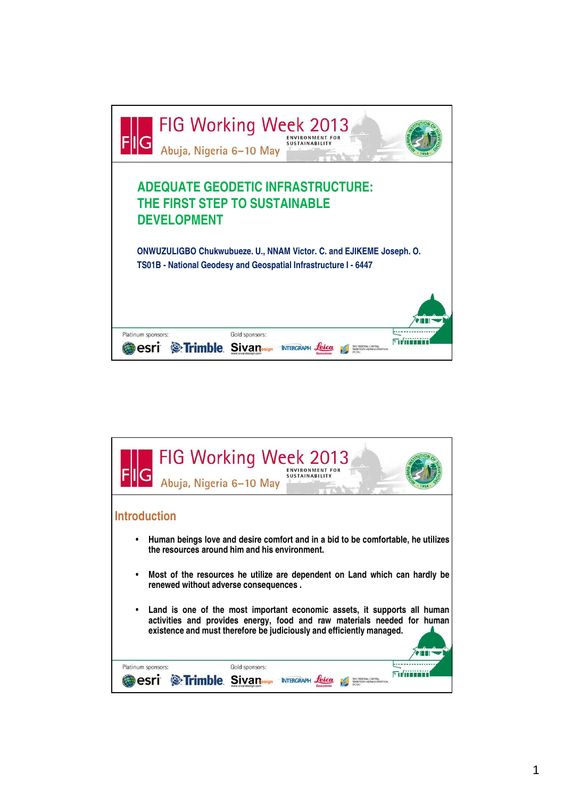

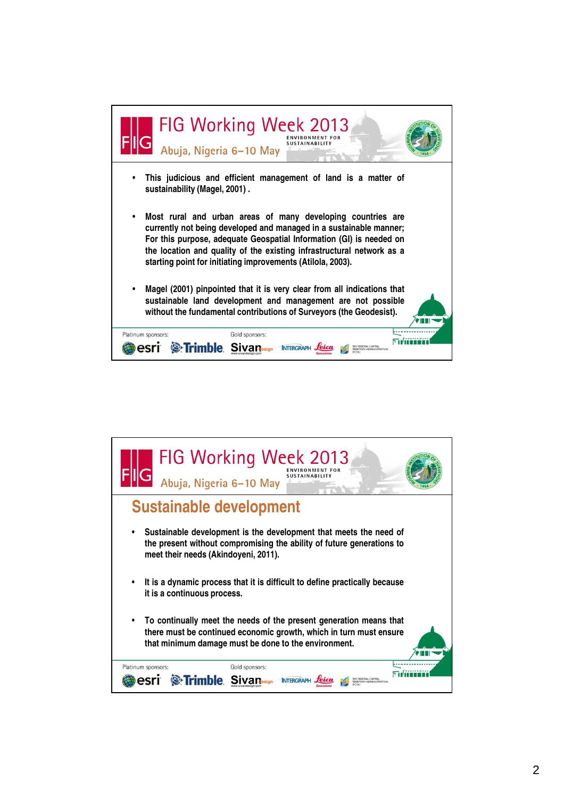

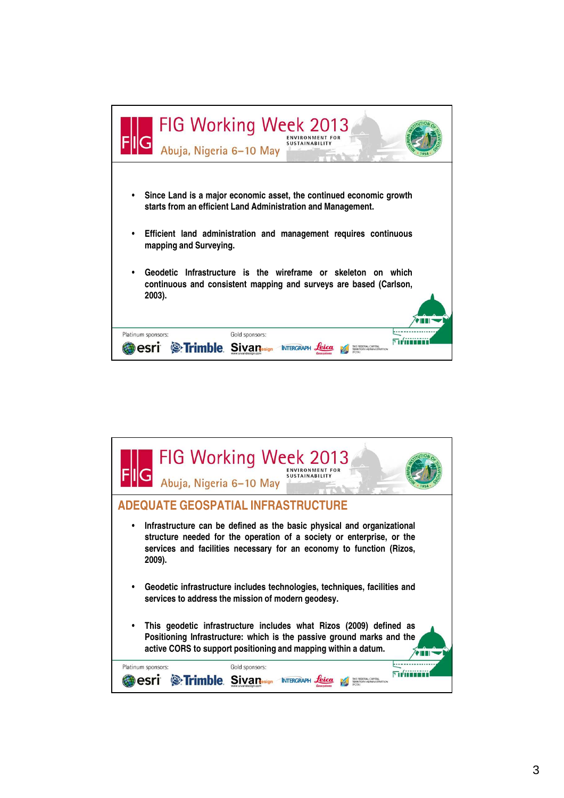

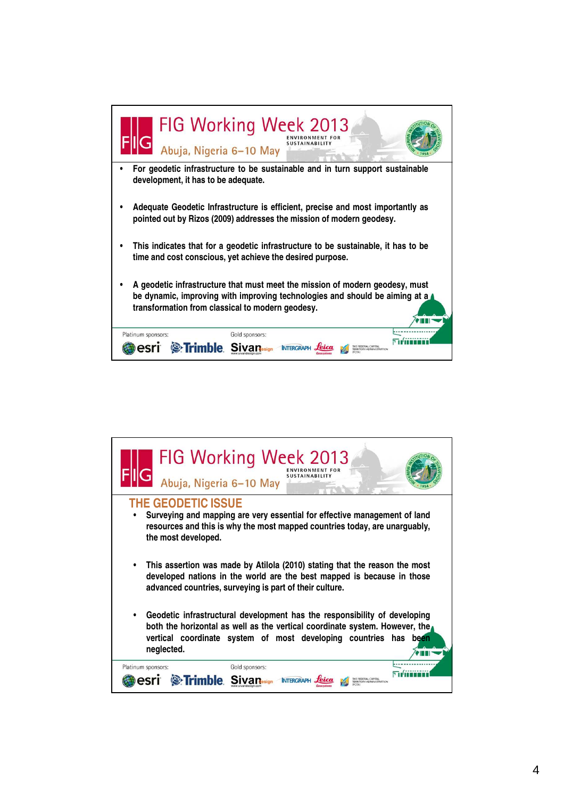

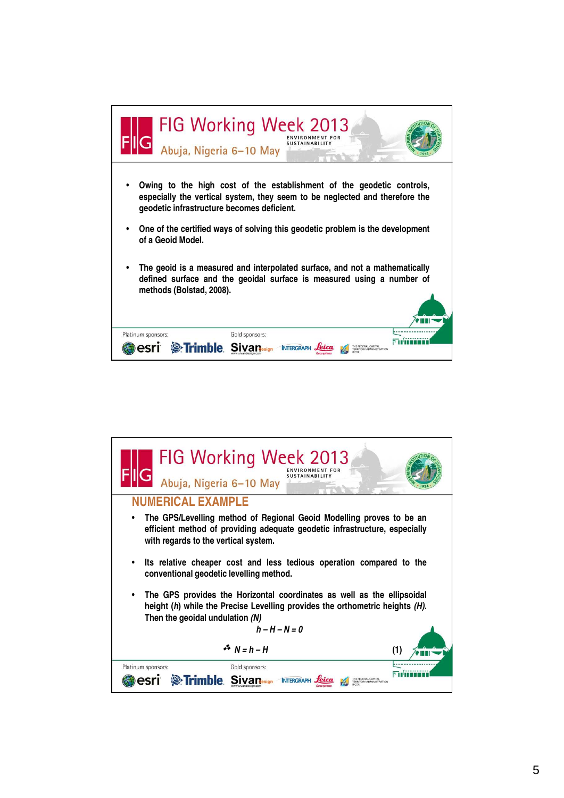

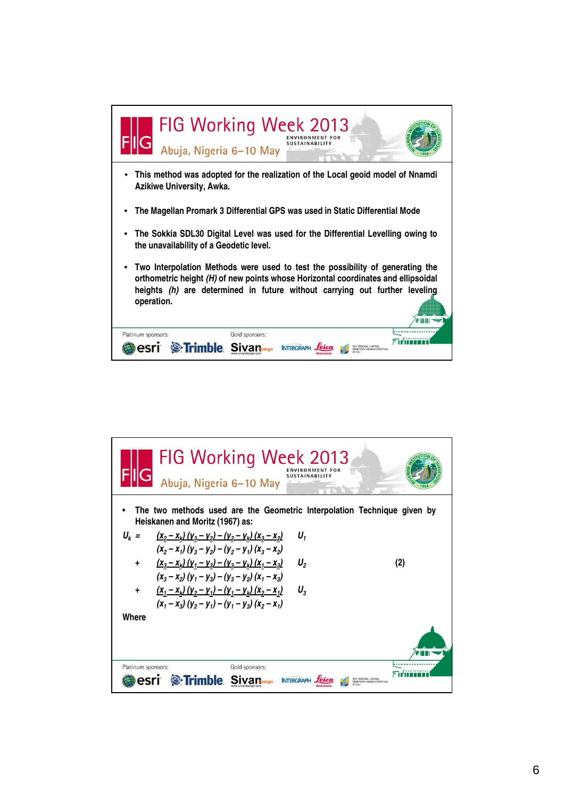

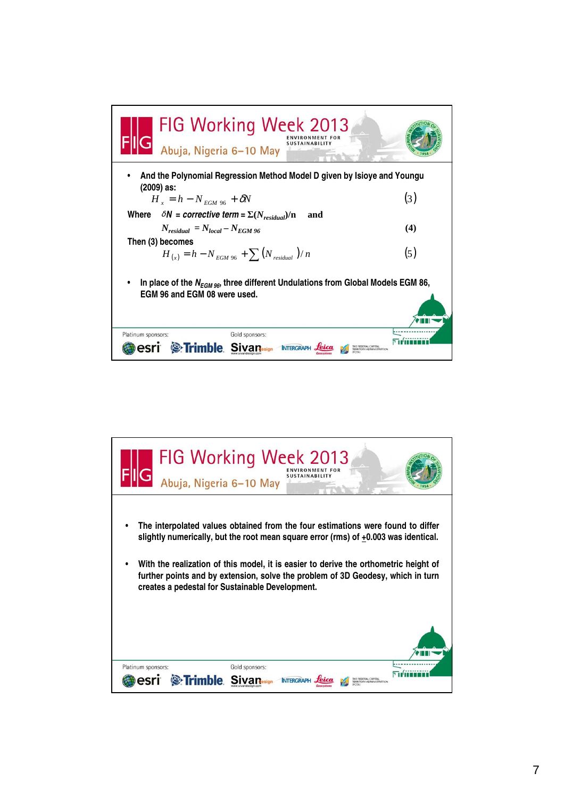